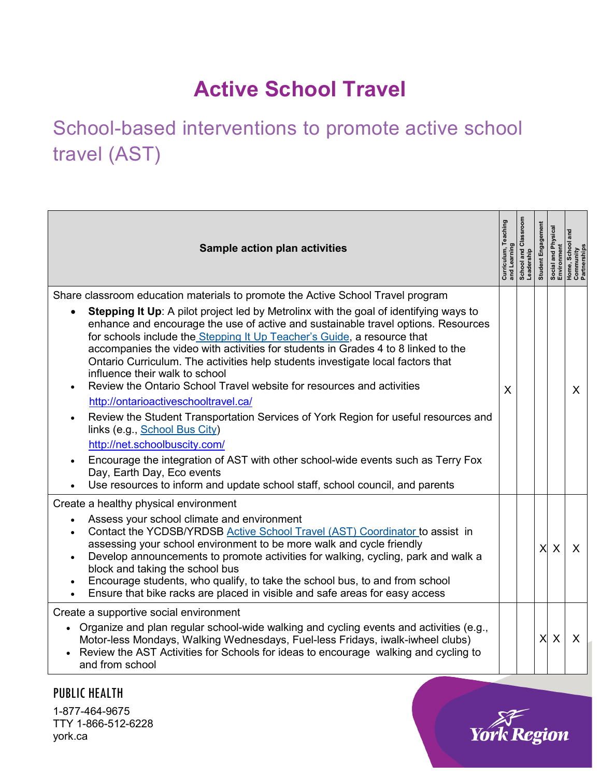## **Active School Travel**

School-based interventions to promote active school travel (AST)

| Sample action plan activities                                                                                                                                                                                                                                                                                                                                                                                                                                                                                                                                                                                                                                                                                                                                                                                                                                                                                                                                     | Curri<br>and l | School and Class<br>Leadership | Student Engagement | I and Physical<br>nment<br>Social and I<br>Environmer | Home,<br>Comm<br>Partne |
|-------------------------------------------------------------------------------------------------------------------------------------------------------------------------------------------------------------------------------------------------------------------------------------------------------------------------------------------------------------------------------------------------------------------------------------------------------------------------------------------------------------------------------------------------------------------------------------------------------------------------------------------------------------------------------------------------------------------------------------------------------------------------------------------------------------------------------------------------------------------------------------------------------------------------------------------------------------------|----------------|--------------------------------|--------------------|-------------------------------------------------------|-------------------------|
| Share classroom education materials to promote the Active School Travel program<br><b>Stepping It Up:</b> A pilot project led by Metrolinx with the goal of identifying ways to<br>enhance and encourage the use of active and sustainable travel options. Resources<br>for schools include the Stepping It Up Teacher's Guide, a resource that<br>accompanies the video with activities for students in Grades 4 to 8 linked to the<br>Ontario Curriculum. The activities help students investigate local factors that<br>influence their walk to school<br>Review the Ontario School Travel website for resources and activities<br>http://ontarioactiveschooltravel.ca/<br>Review the Student Transportation Services of York Region for useful resources and<br>$\bullet$<br>links (e.g., School Bus City)<br>http://net.schoolbuscity.com/<br>Encourage the integration of AST with other school-wide events such as Terry Fox<br>Day, Earth Day, Eco events | X              |                                |                    |                                                       | X                       |
| Use resources to inform and update school staff, school council, and parents                                                                                                                                                                                                                                                                                                                                                                                                                                                                                                                                                                                                                                                                                                                                                                                                                                                                                      |                |                                |                    |                                                       |                         |
| Create a healthy physical environment<br>Assess your school climate and environment<br>Contact the YCDSB/YRDSB Active School Travel (AST) Coordinator to assist in<br>assessing your school environment to be more walk and cycle friendly<br>Develop announcements to promote activities for walking, cycling, park and walk a<br>block and taking the school bus<br>Encourage students, who qualify, to take the school bus, to and from school<br>Ensure that bike racks are placed in visible and safe areas for easy access                                                                                                                                                                                                                                                                                                                                                                                                                                  |                |                                | X                  | X                                                     | X                       |
| Create a supportive social environment<br>• Organize and plan regular school-wide walking and cycling events and activities (e.g.,<br>Motor-less Mondays, Walking Wednesdays, Fuel-less Fridays, iwalk-iwheel clubs)<br>Review the AST Activities for Schools for ideas to encourage walking and cycling to<br>and from school                                                                                                                                                                                                                                                                                                                                                                                                                                                                                                                                                                                                                                    |                |                                | $\times$           | X                                                     | $\sf X$                 |

PUBLIC HEALTH 1-877-464-9675 TTY 1-866-512-6228 york.ca